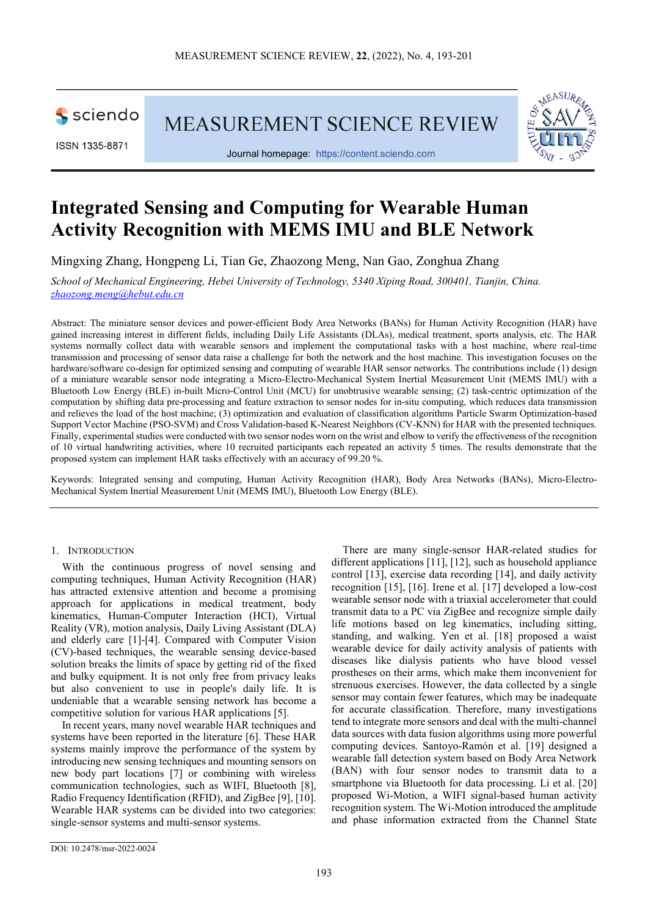

ISSN 1335-8871

MEASUREMENT SCIENCE REVIEW



Journal homepage: [https://content.sciendo.com](https://content.sciendo.com/view/journals/msr/msr-overview.xml)

# **Integrated Sensing and Computing for Wearable Human Activity Recognition with MEMS IMU and BLE Network**

Mingxing Zhang, Hongpeng Li, Tian Ge, Zhaozong Meng, Nan Gao, Zonghua Zhang

*School of Mechanical Engineering, Hebei University of Technology, 5340 Xiping Road, 300401, Tianjin, China. zhaozong.meng@hebut.edu.cn*

Abstract: The miniature sensor devices and power-efficient Body Area Networks (BANs) for Human Activity Recognition (HAR) have gained increasing interest in different fields, including Daily Life Assistants (DLAs), medical treatment, sports analysis, etc. The HAR systems normally collect data with wearable sensors and implement the computational tasks with a host machine, where real-time transmission and processing of sensor data raise a challenge for both the network and the host machine. This investigation focuses on the hardware/software co-design for optimized sensing and computing of wearable HAR sensor networks. The contributions include (1) design of a miniature wearable sensor node integrating a Micro-Electro-Mechanical System Inertial Measurement Unit (MEMS IMU) with a Bluetooth Low Energy (BLE) in-built Micro-Control Unit (MCU) for unobtrusive wearable sensing; (2) task-centric optimization of the computation by shifting data pre-processing and feature extraction to sensor nodes for in-situ computing, which reduces data transmission and relieves the load of the host machine; (3) optimization and evaluation of classification algorithms Particle Swarm Optimization-based Support Vector Machine (PSO-SVM) and Cross Validation-based K-Nearest Neighbors (CV-KNN) for HAR with the presented techniques. Finally, experimental studies were conducted with two sensor nodes worn on the wrist and elbow to verify the effectiveness of the recognition of 10 virtual handwriting activities, where 10 recruited participants each repeated an activity 5 times. The results demonstrate that the proposed system can implement HAR tasks effectively with an accuracy of 99.20 %.

Keywords: Integrated sensing and computing, Human Activity Recognition (HAR), Body Area Networks (BANs), Micro-Electro-Mechanical System Inertial Measurement Unit (MEMS IMU), Bluetooth Low Energy (BLE).

# 1. INTRODUCTION

With the continuous progress of novel sensing and computing techniques, Human Activity Recognition (HAR) has attracted extensive attention and become a promising approach for applications in medical treatment, body kinematics, Human-Computer Interaction (HCI), Virtual Reality (VR), motion analysis, Daily Living Assistant (DLA) and elderly care [1]-[4]. Compared with Computer Vision (CV)-based techniques, the wearable sensing device-based solution breaks the limits of space by getting rid of the fixed and bulky equipment. It is not only free from privacy leaks but also convenient to use in people's daily life. It is undeniable that a wearable sensing network has become a competitive solution for various HAR applications [5].

In recent years, many novel wearable HAR techniques and systems have been reported in the literature [6]. These HAR systems mainly improve the performance of the system by introducing new sensing techniques and mounting sensors on new body part locations [7] or combining with wireless communication technologies, such as WIFI, Bluetooth [8], Radio Frequency Identification (RFID), and ZigBee [9], [10]. Wearable HAR systems can be divided into two categories: single-sensor systems and multi-sensor systems.

There are many single-sensor HAR-related studies for different applications [11], [12], such as household appliance control [13], exercise data recording [14], and daily activity recognition [15], [16]. Irene et al. [17] developed a low-cost wearable sensor node with a triaxial accelerometer that could transmit data to a PC via ZigBee and recognize simple daily life motions based on leg kinematics, including sitting, standing, and walking. Yen et al. [18] proposed a waist wearable device for daily activity analysis of patients with diseases like dialysis patients who have blood vessel prostheses on their arms, which make them inconvenient for strenuous exercises. However, the data collected by a single sensor may contain fewer features, which may be inadequate for accurate classification. Therefore, many investigations tend to integrate more sensors and deal with the multi-channel data sources with data fusion algorithms using more powerful computing devices. Santoyo-Ramón et al. [19] designed a wearable fall detection system based on Body Area Network (BAN) with four sensor nodes to transmit data to a smartphone via Bluetooth for data processing. Li et al. [20] proposed Wi-Motion, a WIFI signal-based human activity recognition system. The Wi-Motion introduced the amplitude and phase information extracted from the Channel State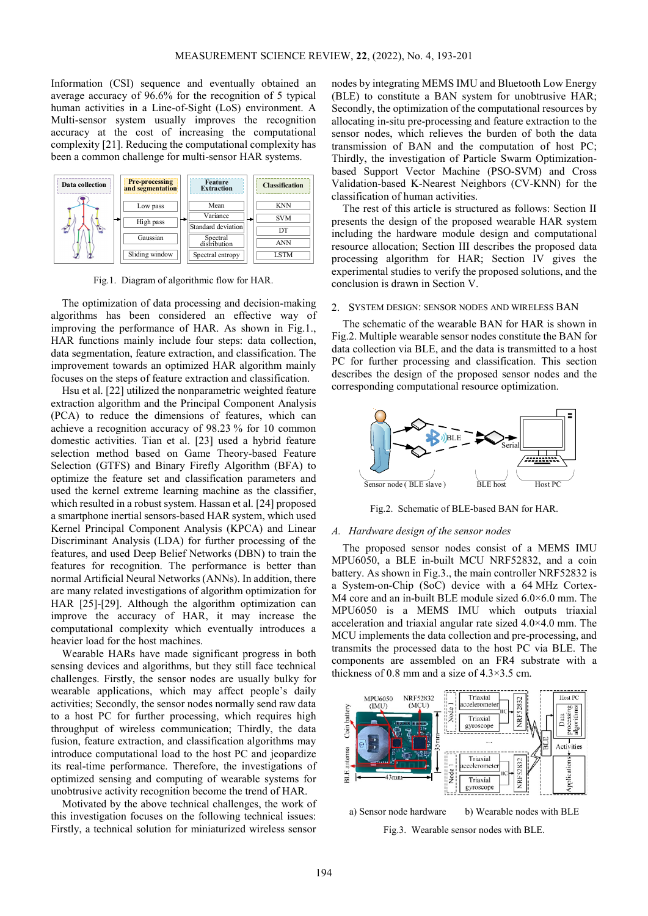Information (CSI) sequence and eventually obtained an average accuracy of 96.6% for the recognition of 5 typical human activities in a Line-of-Sight (LoS) environment. A Multi-sensor system usually improves the recognition accuracy at the cost of increasing the computational complexity [21]. Reducing the computational complexity has been a common challenge for multi-sensor HAR systems.



Fig.1. Diagram of algorithmic flow for HAR.

The optimization of data processing and decision-making algorithms has been considered an effective way of improving the performance of HAR. As shown in Fig.1., HAR functions mainly include four steps: data collection, data segmentation, feature extraction, and classification. The improvement towards an optimized HAR algorithm mainly focuses on the steps of feature extraction and classification.

Hsu et al. [22] utilized the nonparametric weighted feature extraction algorithm and the Principal Component Analysis (PCA) to reduce the dimensions of features, which can achieve a recognition accuracy of 98.23 % for 10 common domestic activities. Tian et al. [23] used a hybrid feature selection method based on Game Theory-based Feature Selection (GTFS) and Binary Firefly Algorithm (BFA) to optimize the feature set and classification parameters and used the kernel extreme learning machine as the classifier, which resulted in a robust system. Hassan et al. [24] proposed a smartphone inertial sensors-based HAR system, which used Kernel Principal Component Analysis (KPCA) and Linear Discriminant Analysis (LDA) for further processing of the features, and used Deep Belief Networks (DBN) to train the features for recognition. The performance is better than normal Artificial Neural Networks (ANNs). In addition, there are many related investigations of algorithm optimization for HAR [25]-[29]. Although the algorithm optimization can improve the accuracy of HAR, it may increase the computational complexity which eventually introduces a heavier load for the host machines.

Wearable HARs have made significant progress in both sensing devices and algorithms, but they still face technical challenges. Firstly, the sensor nodes are usually bulky for wearable applications, which may affect people's daily activities; Secondly, the sensor nodes normally send raw data to a host PC for further processing, which requires high throughput of wireless communication; Thirdly, the data fusion, feature extraction, and classification algorithms may introduce computational load to the host PC and jeopardize its real-time performance. Therefore, the investigations of optimized sensing and computing of wearable systems for unobtrusive activity recognition become the trend of HAR.

Motivated by the above technical challenges, the work of this investigation focuses on the following technical issues: Firstly, a technical solution for miniaturized wireless sensor nodes by integrating MEMS IMU and Bluetooth Low Energy (BLE) to constitute a BAN system for unobtrusive HAR; Secondly, the optimization of the computational resources by allocating in-situ pre-processing and feature extraction to the sensor nodes, which relieves the burden of both the data transmission of BAN and the computation of host PC; Thirdly, the investigation of Particle Swarm Optimizationbased Support Vector Machine (PSO-SVM) and Cross Validation-based K-Nearest Neighbors (CV-KNN) for the classification of human activities.

The rest of this article is structured as follows: Section II presents the design of the proposed wearable HAR system including the hardware module design and computational resource allocation; Section III describes the proposed data processing algorithm for HAR; Section IV gives the experimental studies to verify the proposed solutions, and the conclusion is drawn in Section V.

#### 2. SYSTEM DESIGN: SENSOR NODES AND WIRELESS BAN

The schematic of the wearable BAN for HAR is shown in Fig.2. Multiple wearable sensor nodes constitute the BAN for data collection via BLE, and the data is transmitted to a host PC for further processing and classification. This section describes the design of the proposed sensor nodes and the corresponding computational resource optimization.



Fig.2. Schematic of BLE-based BAN for HAR.

# *A. Hardware design of the sensor nodes*

The proposed sensor nodes consist of a MEMS IMU MPU6050, a BLE in-built MCU NRF52832, and a coin battery. As shown in Fig.3., the main controller NRF52832 is a System-on-Chip (SoC) device with a 64 MHz Cortex-M4 core and an in-built BLE module sized 6.0×6.0 mm. The MPU6050 is a MEMS IMU which outputs triaxial acceleration and triaxial angular rate sized 4.0×4.0 mm. The MCU implements the data collection and pre-processing, and transmits the processed data to the host PC via BLE. The components are assembled on an FR4 substrate with a thickness of 0.8 mm and a size of  $4.3 \times 3.5$  cm.



Fig.3. Wearable sensor nodes with BLE.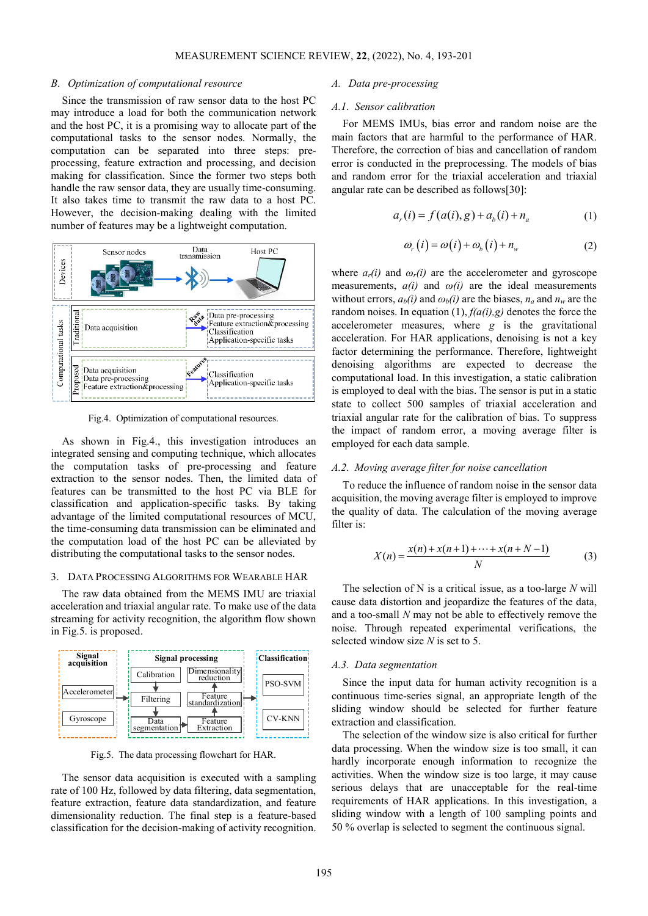#### *B. Optimization of computational resource*

Since the transmission of raw sensor data to the host PC may introduce a load for both the communication network and the host PC, it is a promising way to allocate part of the computational tasks to the sensor nodes. Normally, the computation can be separated into three steps: preprocessing, feature extraction and processing, and decision making for classification. Since the former two steps both handle the raw sensor data, they are usually time-consuming. It also takes time to transmit the raw data to a host PC. However, the decision-making dealing with the limited number of features may be a lightweight computation.



Fig.4. Optimization of computational resources.

As shown in Fig.4., this investigation introduces an integrated sensing and computing technique, which allocates the computation tasks of pre-processing and feature extraction to the sensor nodes. Then, the limited data of features can be transmitted to the host PC via BLE for classification and application-specific tasks. By taking advantage of the limited computational resources of MCU, the time-consuming data transmission can be eliminated and the computation load of the host PC can be alleviated by distributing the computational tasks to the sensor nodes.

# 3. DATA PROCESSING ALGORITHMS FOR WEARABLE HAR

The raw data obtained from the MEMS IMU are triaxial acceleration and triaxial angular rate. To make use of the data streaming for activity recognition, the algorithm flow shown in Fig.5. is proposed.



Fig.5. The data processing flowchart for HAR.

The sensor data acquisition is executed with a sampling rate of 100 Hz, followed by data filtering, data segmentation, feature extraction, feature data standardization, and feature dimensionality reduction. The final step is a feature-based classification for the decision-making of activity recognition.

# *A. Data pre-processing*

# *A.1. Sensor calibration*

For MEMS IMUs, bias error and random noise are the main factors that are harmful to the performance of HAR. Therefore, the correction of bias and cancellation of random error is conducted in the preprocessing. The models of bias and random error for the triaxial acceleration and triaxial angular rate can be described as follows[30]:

$$
a_r(i) = f(a(i), g) + a_b(i) + n_a
$$
 (1)

$$
\omega_r(i) = \omega(i) + \omega_b(i) + n_w \tag{2}
$$

where  $a_r(i)$  and  $\omega_r(i)$  are the accelerometer and gyroscope measurements,  $a(i)$  and  $\omega(i)$  are the ideal measurements without errors,  $a_b(i)$  and  $\omega_b(i)$  are the biases,  $n_a$  and  $n_w$  are the random noises. In equation (1), *f(a(i),g)* denotes the force the accelerometer measures, where *g* is the gravitational acceleration. For HAR applications, denoising is not a key factor determining the performance. Therefore, lightweight denoising algorithms are expected to decrease the computational load. In this investigation, a static calibration is employed to deal with the bias. The sensor is put in a static state to collect 500 samples of triaxial acceleration and triaxial angular rate for the calibration of bias. To suppress the impact of random error, a moving average filter is employed for each data sample.

#### *A.2. Moving average filter for noise cancellation*

To reduce the influence of random noise in the sensor data acquisition, the moving average filter is employed to improve the quality of data. The calculation of the moving average filter is:

$$
X(n) = \frac{x(n) + x(n+1) + \dots + x(n+N-1)}{N}
$$
 (3)

The selection of N is a critical issue, as a too-large *N* will cause data distortion and jeopardize the features of the data, and a too-small *N* may not be able to effectively remove the noise. Through repeated experimental verifications, the selected window size *N* is set to 5.

## *A.3. Data segmentation*

Since the input data for human activity recognition is a continuous time-series signal, an appropriate length of the sliding window should be selected for further feature extraction and classification.

The selection of the window size is also critical for further data processing. When the window size is too small, it can hardly incorporate enough information to recognize the activities. When the window size is too large, it may cause serious delays that are unacceptable for the real-time requirements of HAR applications. In this investigation, a sliding window with a length of 100 sampling points and 50 % overlap is selected to segment the continuous signal.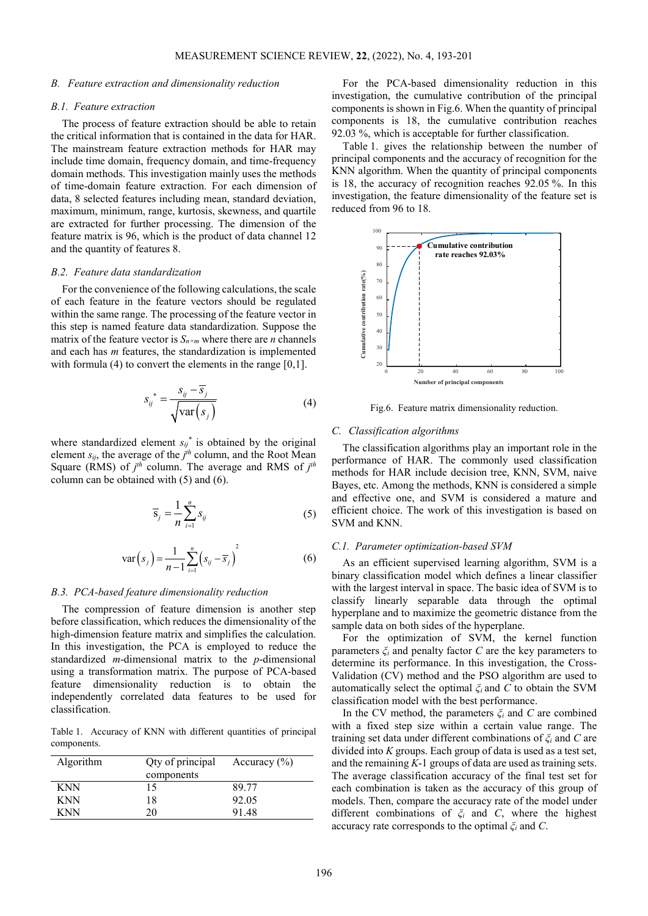#### *B. Feature extraction and dimensionality reduction*

# *B.1. Feature extraction*

The process of feature extraction should be able to retain the critical information that is contained in the data for HAR. The mainstream feature extraction methods for HAR may include time domain, frequency domain, and time-frequency domain methods. This investigation mainly uses the methods of time-domain feature extraction. For each dimension of data, 8 selected features including mean, standard deviation, maximum, minimum, range, kurtosis, skewness, and quartile are extracted for further processing. The dimension of the feature matrix is 96, which is the product of data channel 12 and the quantity of features 8.

## *B.2. Feature data standardization*

For the convenience of the following calculations, the scale of each feature in the feature vectors should be regulated within the same range. The processing of the feature vector in this step is named feature data standardization. Suppose the matrix of the feature vector is  $S_{n \times m}$  where there are *n* channels and each has *m* features, the standardization is implemented with formula (4) to convert the elements in the range [0,1].

$$
S_{ij}^* = \frac{S_{ij} - \overline{S}_j}{\sqrt{\text{var}(S_j)}}
$$
(4)

where standardized element  $s_{ij}$ <sup>\*</sup> is obtained by the original element  $s_{ij}$ , the average of the  $j<sup>th</sup>$  column, and the Root Mean Square (RMS) of *j th* column. The average and RMS of *j th* column can be obtained with (5) and (6).

$$
\overline{S}_j = \frac{1}{n} \sum_{i=1}^n S_{ij} \tag{5}
$$

$$
\text{var}(s_j) = \frac{1}{n-1} \sum_{i=1}^{n} (s_{ij} - \overline{s}_j)^2
$$
 (6)

#### *B.3. PCA-based feature dimensionality reduction*

The compression of feature dimension is another step before classification, which reduces the dimensionality of the high-dimension feature matrix and simplifies the calculation. In this investigation, the PCA is employed to reduce the standardized *m*-dimensional matrix to the *p*-dimensional using a transformation matrix. The purpose of PCA-based feature dimensionality reduction is to obtain the independently correlated data features to be used for classification.

Table 1. Accuracy of KNN with different quantities of principal components.

| Algorithm  | Qty of principal<br>components | Accuracy $(\% )$ |
|------------|--------------------------------|------------------|
| <b>KNN</b> | 15                             | 89 77            |
| <b>KNN</b> | 18                             | 92.05            |
| KNN        | 70                             | 9148             |

For the PCA-based dimensionality reduction in this investigation, the cumulative contribution of the principal components is shown in Fig.6. When the quantity of principal components is 18, the cumulative contribution reaches 92.03 %, which is acceptable for further classification.

Table 1. gives the relationship between the number of principal components and the accuracy of recognition for the KNN algorithm. When the quantity of principal components is 18, the accuracy of recognition reaches 92.05 %. In this investigation, the feature dimensionality of the feature set is reduced from 96 to 18.



Fig.6. Feature matrix dimensionality reduction.

#### *C. Classification algorithms*

The classification algorithms play an important role in the performance of HAR. The commonly used classification methods for HAR include decision tree, KNN, SVM, naive Bayes, etc. Among the methods, KNN is considered a simple and effective one, and SVM is considered a mature and efficient choice. The work of this investigation is based on SVM and KNN.

#### *C.1. Parameter optimization-based SVM*

As an efficient supervised learning algorithm, SVM is a binary classification model which defines a linear classifier with the largest interval in space. The basic idea of SVM is to classify linearly separable data through the optimal hyperplane and to maximize the geometric distance from the sample data on both sides of the hyperplane.

For the optimization of SVM, the kernel function parameters *ξ<sup>i</sup>* and penalty factor *C* are the key parameters to determine its performance. In this investigation, the Cross-Validation (CV) method and the PSO algorithm are used to automatically select the optimal *ξ<sup>i</sup>* and *C* to obtain the SVM classification model with the best performance.

In the CV method, the parameters *ξ<sup>i</sup>* and *C* are combined with a fixed step size within a certain value range. The training set data under different combinations of *ξ<sup>i</sup>* and *C* are divided into *K* groups. Each group of data is used as a test set, and the remaining *K*-1 groups of data are used as training sets. The average classification accuracy of the final test set for each combination is taken as the accuracy of this group of models. Then, compare the accuracy rate of the model under different combinations of *ξ<sup>i</sup>* and *C*, where the highest accuracy rate corresponds to the optimal *ξ<sup>i</sup>* and *C*.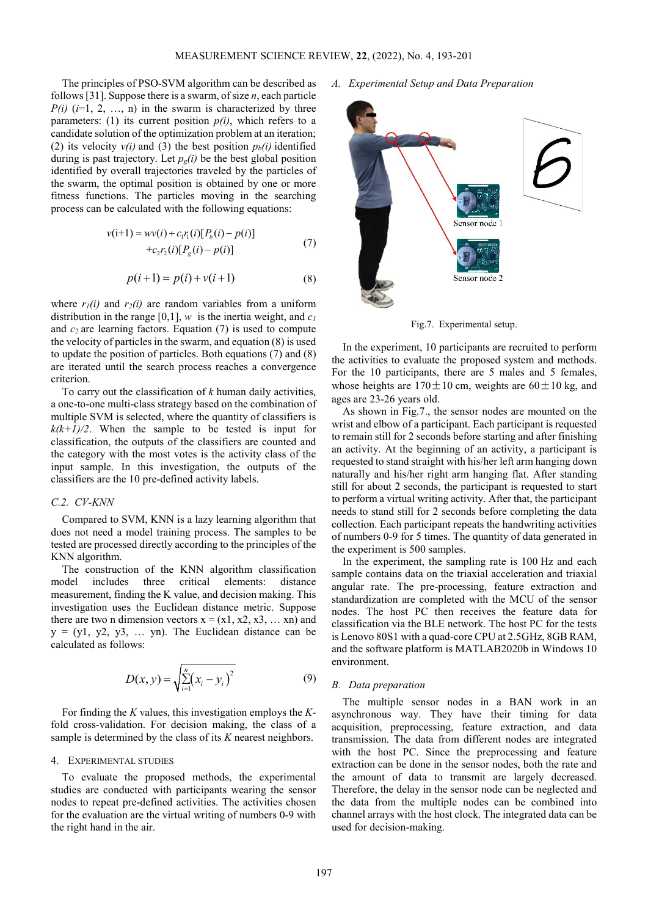The principles of PSO-SVM algorithm can be described as follows [31]. Suppose there is a swarm, of size *n*, each particle  $P(i)$  ( $i=1, 2, ..., n$ ) in the swarm is characterized by three parameters: (1) its current position  $p(i)$ , which refers to a candidate solution of the optimization problem at an iteration; (2) its velocity  $v(i)$  and (3) the best position  $p_b(i)$  identified during is past trajectory. Let  $p<sub>g</sub>(i)$  be the best global position identified by overall trajectories traveled by the particles of the swarm, the optimal position is obtained by one or more fitness functions. The particles moving in the searching process can be calculated with the following equations:

$$
v(i+1) = wv(i) + c_1r_1(i)[P_b(i) - p(i)]
$$
  
+
$$
+c_2r_2(i)[P_g(i) - p(i)]
$$
 (7)

$$
p(i+1) = p(i) + v(i+1)
$$
 (8)

where  $r_1(i)$  and  $r_2(i)$  are random variables from a uniform distribution in the range [0,1],  $w$  is the inertia weight, and  $c_1$ and *c2* are learning factors. Equation (7) is used to compute the velocity of particles in the swarm, and equation (8) is used to update the position of particles. Both equations (7) and (8) are iterated until the search process reaches a convergence criterion.

To carry out the classification of *k* human daily activities, a one-to-one multi-class strategy based on the combination of multiple SVM is selected, where the quantity of classifiers is  $k(k+1)/2$ . When the sample to be tested is input for classification, the outputs of the classifiers are counted and the category with the most votes is the activity class of the input sample. In this investigation, the outputs of the classifiers are the 10 pre-defined activity labels.

#### *C.2. CV-KNN*

Compared to SVM, KNN is a lazy learning algorithm that does not need a model training process. The samples to be tested are processed directly according to the principles of the KNN algorithm.

The construction of the KNN algorithm classification model includes three critical elements: distance measurement, finding the K value, and decision making. This investigation uses the Euclidean distance metric. Suppose there are two n dimension vectors  $x = (x1, x2, x3, \dots, xn)$  and  $y = (y1, y2, y3, \dots, yn)$ . The Euclidean distance can be calculated as follows:

$$
D(x, y) = \sqrt{\sum_{i=1}^{n} (x_i - y_i)^2}
$$
 (9)

For finding the *K* values, this investigation employs the *K*fold cross-validation. For decision making, the class of a sample is determined by the class of its *K* nearest neighbors.

# 4. EXPERIMENTAL STUDIES

To evaluate the proposed methods, the experimental studies are conducted with participants wearing the sensor nodes to repeat pre-defined activities. The activities chosen for the evaluation are the virtual writing of numbers 0-9 with the right hand in the air.

*A. Experimental Setup and Data Preparation*



Fig.7. Experimental setup.

In the experiment, 10 participants are recruited to perform the activities to evaluate the proposed system and methods. For the 10 participants, there are 5 males and 5 females, whose heights are  $170 \pm 10$  cm, weights are  $60 \pm 10$  kg, and ages are 23-26 years old.

As shown in Fig.7., the sensor nodes are mounted on the wrist and elbow of a participant. Each participant is requested to remain still for 2 seconds before starting and after finishing an activity. At the beginning of an activity, a participant is requested to stand straight with his/her left arm hanging down naturally and his/her right arm hanging flat. After standing still for about 2 seconds, the participant is requested to start to perform a virtual writing activity. After that, the participant needs to stand still for 2 seconds before completing the data collection. Each participant repeats the handwriting activities of numbers 0-9 for 5 times. The quantity of data generated in the experiment is 500 samples.

In the experiment, the sampling rate is 100 Hz and each sample contains data on the triaxial acceleration and triaxial angular rate. The pre-processing, feature extraction and standardization are completed with the MCU of the sensor nodes. The host PC then receives the feature data for classification via the BLE network. The host PC for the tests is Lenovo 80S1 with a quad-core CPU at 2.5GHz, 8GB RAM, and the software platform is MATLAB2020b in Windows 10 environment.

#### *B. Data preparation*

The multiple sensor nodes in a BAN work in an asynchronous way. They have their timing for data acquisition, preprocessing, feature extraction, and data transmission. The data from different nodes are integrated with the host PC. Since the preprocessing and feature extraction can be done in the sensor nodes, both the rate and the amount of data to transmit are largely decreased. Therefore, the delay in the sensor node can be neglected and the data from the multiple nodes can be combined into channel arrays with the host clock. The integrated data can be used for decision-making.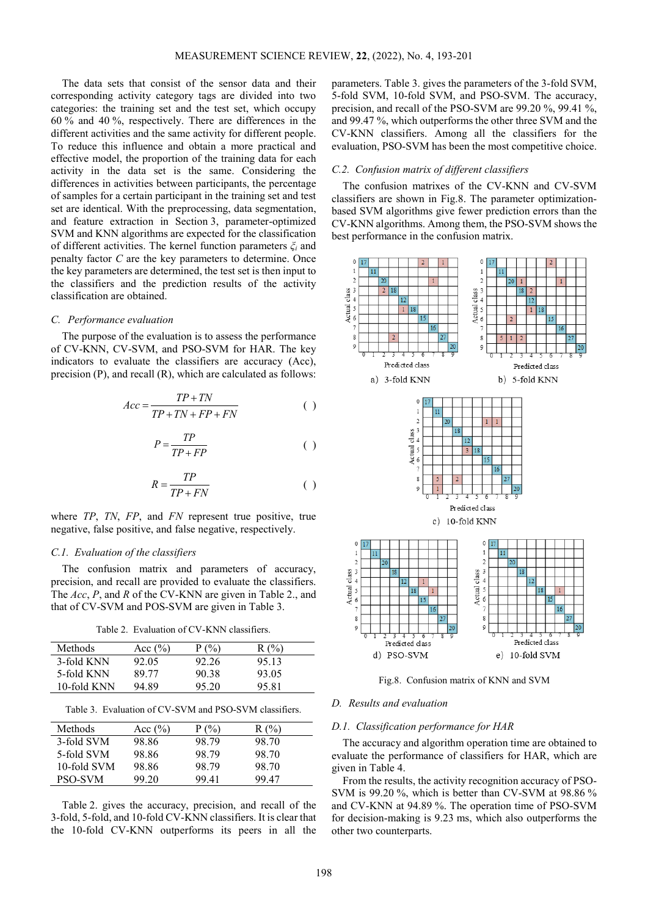The data sets that consist of the sensor data and their corresponding activity category tags are divided into two categories: the training set and the test set, which occupy 60 % and 40 %, respectively. There are differences in the different activities and the same activity for different people. To reduce this influence and obtain a more practical and effective model, the proportion of the training data for each activity in the data set is the same. Considering the differences in activities between participants, the percentage of samples for a certain participant in the training set and test set are identical. With the preprocessing, data segmentation, and feature extraction in Section 3, parameter-optimized SVM and KNN algorithms are expected for the classification of different activities. The kernel function parameters *ξ<sup>i</sup>* and penalty factor *C* are the key parameters to determine. Once the key parameters are determined, the test set is then input to the classifiers and the prediction results of the activity classification are obtained.

#### *C. Performance evaluation*

The purpose of the evaluation is to assess the performance of CV-KNN, CV-SVM, and PSO-SVM for HAR. The key indicators to evaluate the classifiers are accuracy (Acc), precision (P), and recall (R), which are calculated as follows:

$$
Acc = \frac{TP + TN}{TP + TN + FP + FN}
$$
 ( )

$$
P = \frac{TP}{TP + FP}
$$
 ( )

$$
R = \frac{TP}{TP + FN} \tag{}
$$

where *TP*, *TN*, *FP*, and *FN* represent true positive, true negative, false positive, and false negative, respectively.

# *C.1. Evaluation of the classifiers*

The confusion matrix and parameters of accuracy, precision, and recall are provided to evaluate the classifiers. The *Acc*, *P*, and *R* of the CV-KNN are given in Table 2., and that of CV-SVM and POS-SVM are given in Table 3.

Table 2. Evaluation of CV-KNN classifiers.

| <b>Methods</b> | Acc $(\% )$ | P(0)  | (0)   |
|----------------|-------------|-------|-------|
| 3-fold KNN     | 92.05       | 92.26 | 95 13 |
| 5-fold KNN     | 89.77       | 90.38 | 93.05 |
| 10-fold KNN    | 94.89       | 95.20 | 95.81 |

Table 3. Evaluation of CV-SVM and PSO-SVM classifiers.

| Methods     | Acc $(\% )$ | P(%)  | R(%)  |
|-------------|-------------|-------|-------|
| 3-fold SVM  | 98.86       | 98.79 | 98.70 |
| 5-fold SVM  | 98.86       | 98.79 | 98.70 |
| 10-fold SVM | 98.86       | 98.79 | 98.70 |
| PSO-SVM     | 99 20       | 99.41 | 99 47 |

Table 2. gives the accuracy, precision, and recall of the 3-fold, 5-fold, and 10-fold CV-KNN classifiers. It is clear that the 10-fold CV-KNN outperforms its peers in all the parameters. Table 3. gives the parameters of the 3-fold SVM, 5-fold SVM, 10-fold SVM, and PSO-SVM. The accuracy, precision, and recall of the PSO-SVM are 99.20 %, 99.41 %, and 99.47 %, which outperforms the other three SVM and the CV-KNN classifiers. Among all the classifiers for the evaluation, PSO-SVM has been the most competitive choice.

## *C.2. Confusion matrix of different classifiers*

The confusion matrixes of the CV-KNN and CV-SVM classifiers are shown in Fig.8. The parameter optimizationbased SVM algorithms give fewer prediction errors than the CV-KNN algorithms. Among them, the PSO-SVM shows the best performance in the confusion matrix.



Fig.8. Confusion matrix of KNN and SVM

# *D. Results and evaluation*

#### *D.1. Classification performance for HAR*

The accuracy and algorithm operation time are obtained to evaluate the performance of classifiers for HAR, which are given in Table 4.

From the results, the activity recognition accuracy of PSO-SVM is 99.20 %, which is better than CV-SVM at 98.86 % and CV-KNN at 94.89 %. The operation time of PSO-SVM for decision-making is 9.23 ms, which also outperforms the other two counterparts.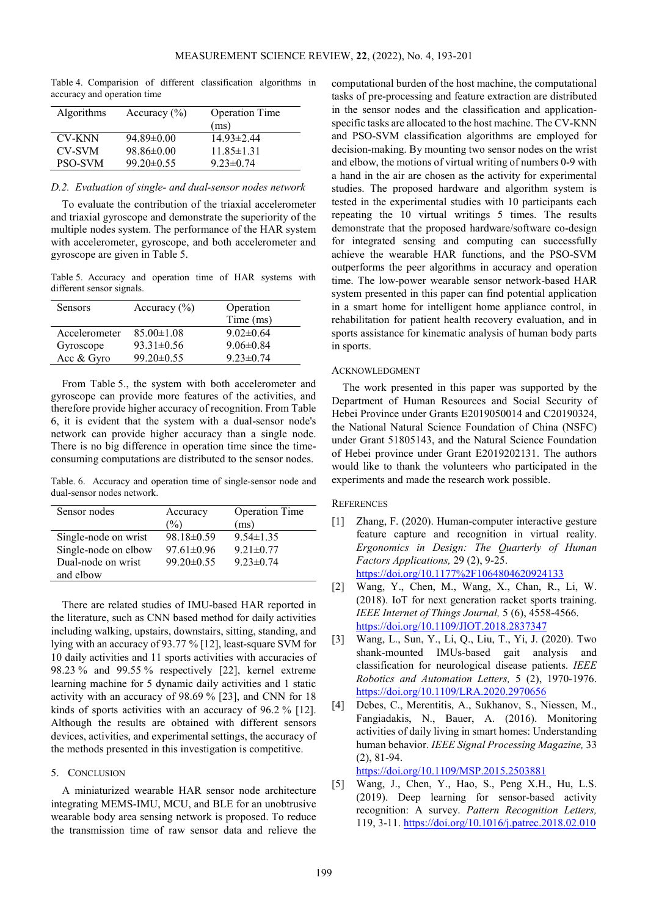Table 4. Comparision of different classification algorithms in accuracy and operation time

| Algorithms     | Accuracy $(\% )$ | <b>Operation Time</b> |
|----------------|------------------|-----------------------|
|                |                  | (ms)                  |
| <b>CV-KNN</b>  | $94.89\pm0.00$   | $1493\pm244$          |
| <b>CV-SVM</b>  | $98.86 \pm 0.00$ | $11.85 \pm 1.31$      |
| <b>PSO-SVM</b> | $99.20 \pm 0.55$ | $9.23 \pm 0.74$       |

#### *D.2. Evaluation of single- and dual-sensor nodes network*

To evaluate the contribution of the triaxial accelerometer and triaxial gyroscope and demonstrate the superiority of the multiple nodes system. The performance of the HAR system with accelerometer, gyroscope, and both accelerometer and gyroscope are given in Table 5.

Table 5. Accuracy and operation time of HAR systems with different sensor signals.

| <b>Sensors</b> | Accuracy $(\% )$ | Operation       |
|----------------|------------------|-----------------|
|                |                  | Time (ms)       |
| Accelerometer  | $85.00 \pm 1.08$ | $9.02\pm0.64$   |
| Gyroscope      | $93.31 \pm 0.56$ | $9.06\pm0.84$   |
| Acc & Gyro     | $99.20 \pm 0.55$ | $9.23 \pm 0.74$ |

From Table 5., the system with both accelerometer and gyroscope can provide more features of the activities, and therefore provide higher accuracy of recognition. From Table 6, it is evident that the system with a dual-sensor node's network can provide higher accuracy than a single node. There is no big difference in operation time since the timeconsuming computations are distributed to the sensor nodes.

Table. 6. Accuracy and operation time of single-sensor node and dual-sensor nodes network.

| Sensor nodes         | Accuracy<br>$\%$ | <b>Operation Time</b><br>(ms) |
|----------------------|------------------|-------------------------------|
| Single-node on wrist | $98.18 \pm 0.59$ | $9.54 \pm 1.35$               |
| Single-node on elbow | $97.61 \pm 0.96$ | $9.21 \pm 0.77$               |
| Dual-node on wrist   | $99.20 \pm 0.55$ | $9.23 \pm 0.74$               |
| and elbow            |                  |                               |

There are related studies of IMU-based HAR reported in the literature, such as CNN based method for daily activities including walking, upstairs, downstairs, sitting, standing, and lying with an accuracy of 93.77 % [12], least-square SVM for 10 daily activities and 11 sports activities with accuracies of 98.23 % and 99.55 % respectively [22], kernel extreme learning machine for 5 dynamic daily activities and 1 static activity with an accuracy of 98.69 % [23], and CNN for 18 kinds of sports activities with an accuracy of 96.2 % [12]. Although the results are obtained with different sensors devices, activities, and experimental settings, the accuracy of the methods presented in this investigation is competitive.

# 5. CONCLUSION

A miniaturized wearable HAR sensor node architecture integrating MEMS-IMU, MCU, and BLE for an unobtrusive wearable body area sensing network is proposed. To reduce the transmission time of raw sensor data and relieve the computational burden of the host machine, the computational tasks of pre-processing and feature extraction are distributed in the sensor nodes and the classification and applicationspecific tasks are allocated to the host machine. The CV-KNN and PSO-SVM classification algorithms are employed for decision-making. By mounting two sensor nodes on the wrist and elbow, the motions of virtual writing of numbers 0-9 with a hand in the air are chosen as the activity for experimental studies. The proposed hardware and algorithm system is tested in the experimental studies with 10 participants each repeating the 10 virtual writings 5 times. The results demonstrate that the proposed hardware/software co-design for integrated sensing and computing can successfully achieve the wearable HAR functions, and the PSO-SVM outperforms the peer algorithms in accuracy and operation time. The low-power wearable sensor network-based HAR system presented in this paper can find potential application in a smart home for intelligent home appliance control, in rehabilitation for patient health recovery evaluation, and in sports assistance for kinematic analysis of human body parts in sports.

# ACKNOWLEDGMENT

The work presented in this paper was supported by the Department of Human Resources and Social Security of Hebei Province under Grants E2019050014 and C20190324, the National Natural Science Foundation of China (NSFC) under Grant 51805143, and the Natural Science Foundation of Hebei province under Grant E2019202131. The authors would like to thank the volunteers who participated in the experiments and made the research work possible.

# **REFERENCES**

- [1] Zhang, F. (2020). Human-computer interactive gesture feature capture and recognition in virtual reality. *Ergonomics in Design: The Quarterly of Human Factors Applications,* 29 (2), 9-25. <https://doi.org/10.1177%2F1064804620924133>
- [2] Wang, Y., Chen, M., Wang, X., Chan, R., Li, W. (2018). IoT for next generation racket sports training. *IEEE Internet of Things Journal,* 5 (6), 4558-4566. <https://doi.org/10.1109/JIOT.2018.2837347>
- [3] Wang, L., Sun, Y., Li, Q., Liu, T., Yi, J. (2020). Two shank-mounted IMUs-based gait analysis and classification for neurological disease patients. *IEEE Robotics and Automation Letters,* 5 (2), 1970-1976. <https://doi.org/10.1109/LRA.2020.2970656>
- [4] Debes, C., Merentitis, A., Sukhanov, S., Niessen, M., Fangiadakis, N., Bauer, A. (2016). Monitoring activities of daily living in smart homes: Understanding human behavior. *IEEE Signal Processing Magazine,* 33 (2), 81-94.

<https://doi.org/10.1109/MSP.2015.2503881>

[5] Wang, J., Chen, Y., Hao, S., Peng X.H., Hu, L.S. (2019). Deep learning for sensor-based activity recognition: A survey. *Pattern Recognition Letters,* 119, 3-11. <https://doi.org/10.1016/j.patrec.2018.02.010>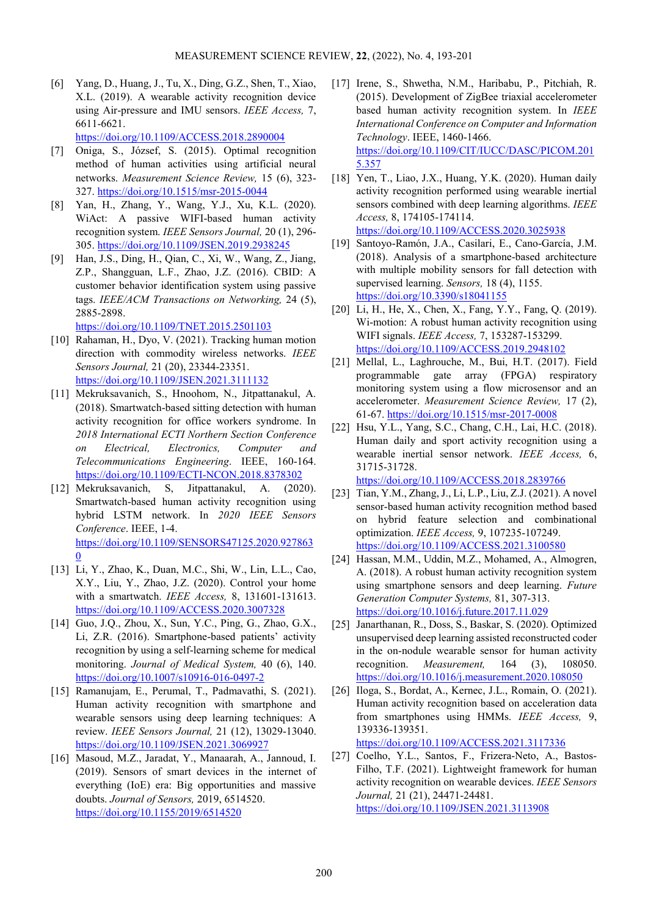[6] Yang, D., Huang, J., Tu, X., Ding, G.Z., Shen, T., Xiao, X.L. (2019). A wearable activity recognition device using Air-pressure and IMU sensors. *IEEE Access,* 7, 6611-6621.

<https://doi.org/10.1109/ACCESS.2018.2890004>

- [7] Oniga, S., József, S. (2015). Optimal recognition method of human activities using artificial neural networks. *Measurement Science Review,* 15 (6), 323- 327. <https://doi.org/10.1515/msr-2015-0044>
- [8] Yan, H., Zhang, Y., Wang, Y.J., Xu, K.L. (2020). WiAct: A passive WIFI-based human activity recognition system. *IEEE Sensors Journal,* 20 (1), 296- 305. <https://doi.org/10.1109/JSEN.2019.2938245>
- [9] Han, J.S., Ding, H., Qian, C., Xi, W., Wang, Z., Jiang, Z.P., Shangguan, L.F., Zhao, J.Z. (2016). CBID: A customer behavior identification system using passive tags. *IEEE/ACM Transactions on Networking,* 24 (5), 2885-2898.

<https://doi.org/10.1109/TNET.2015.2501103>

- [10] Rahaman, H., Dyo, V. (2021). Tracking human motion direction with commodity wireless networks. *IEEE Sensors Journal,* 21 (20), 23344-23351. <https://doi.org/10.1109/JSEN.2021.3111132>
- [11] Mekruksavanich, S., Hnoohom, N., Jitpattanakul, A. (2018). Smartwatch-based sitting detection with human activity recognition for office workers syndrome. In *2018 International ECTI Northern Section Conference on Electrical, Electronics, Computer and Telecommunications Engineering*. IEEE, 160-164. <https://doi.org/10.1109/ECTI-NCON.2018.8378302>
- [12] Mekruksavanich, S, Jitpattanakul, A. (2020). Smartwatch-based human activity recognition using hybrid LSTM network. In *2020 IEEE Sensors Conference*. IEEE, 1-4. [https://doi.org/10.1109/SENSORS47125.2020.927863](https://doi.org/10.1109/SENSORS47125.2020.9278630) [0](https://doi.org/10.1109/SENSORS47125.2020.9278630)
- [13] Li, Y., Zhao, K., Duan, M.C., Shi, W., Lin, L.L., Cao, X.Y., Liu, Y., Zhao, J.Z. (2020). Control your home with a smartwatch. *IEEE Access,* 8, 131601-131613. <https://doi.org/10.1109/ACCESS.2020.3007328>
- [14] Guo, J.Q., Zhou, X., Sun, Y.C., Ping, G., Zhao, G.X., Li, Z.R. (2016). Smartphone-based patients' activity recognition by using a self-learning scheme for medical monitoring. *Journal of Medical System,* 40 (6), 140. <https://doi.org/10.1007/s10916-016-0497-2>
- [15] Ramanujam, E., Perumal, T., Padmavathi, S. (2021). Human activity recognition with smartphone and wearable sensors using deep learning techniques: A review. *IEEE Sensors Journal,* 21 (12), 13029-13040. <https://doi.org/10.1109/JSEN.2021.3069927>
- [16] Masoud, M.Z., Jaradat, Y., Manaarah, A., Jannoud, I. (2019). Sensors of smart devices in the internet of everything (IoE) era: Big opportunities and massive doubts. *Journal of Sensors,* 2019, 6514520. <https://doi.org/10.1155/2019/6514520>
- [17] Irene, S., Shwetha, N.M., Haribabu, P., Pitchiah, R. (2015). Development of ZigBee triaxial accelerometer based human activity recognition system. In *IEEE International Conference on Computer and Information Technology*. IEEE, 1460-1466. [https://doi.org/10.1109/CIT/IUCC/DASC/PICOM.201](https://doi.org/10.1109/CIT/IUCC/DASC/PICOM.2015.357) [5.357](https://doi.org/10.1109/CIT/IUCC/DASC/PICOM.2015.357)
- [18] Yen, T., Liao, J.X., Huang, Y.K. (2020). Human daily activity recognition performed using wearable inertial sensors combined with deep learning algorithms. *IEEE Access,* 8, 174105-174114. <https://doi.org/10.1109/ACCESS.2020.3025938>
- [19] Santoyo-Ramón, J.A., Casilari, E., Cano-García, J.M. (2018). Analysis of a smartphone-based architecture with multiple mobility sensors for fall detection with supervised learning. *Sensors,* 18 (4), 1155. <https://doi.org/10.3390/s18041155>
- [20] Li, H., He, X., Chen, X., Fang, Y.Y., Fang, Q. (2019). Wi-motion: A robust human activity recognition using WIFI signals. *IEEE Access,* 7, 153287-153299. <https://doi.org/10.1109/ACCESS.2019.2948102>
- [21] Mellal, L., Laghrouche, M., Bui, H.T. (2017). Field programmable gate array (FPGA) respiratory monitoring system using a flow microsensor and an accelerometer. *Measurement Science Review,* 17 (2), 61-67. <https://doi.org/10.1515/msr-2017-0008>
- [22] Hsu, Y.L., Yang, S.C., Chang, C.H., Lai, H.C. (2018). Human daily and sport activity recognition using a wearable inertial sensor network. *IEEE Access,* 6, 31715-31728.

<https://doi.org/10.1109/ACCESS.2018.2839766>

- [23] Tian, Y.M., Zhang, J., Li, L.P., Liu, Z.J. (2021). A novel sensor-based human activity recognition method based on hybrid feature selection and combinational optimization. *IEEE Access,* 9, 107235-107249. <https://doi.org/10.1109/ACCESS.2021.3100580>
- [24] Hassan, M.M., Uddin, M.Z., Mohamed, A., Almogren, A. (2018). A robust human activity recognition system using smartphone sensors and deep learning. *Future Generation Computer Systems,* 81, 307-313. <https://doi.org/10.1016/j.future.2017.11.029>
- [25] Janarthanan, R., Doss, S., Baskar, S. (2020). Optimized unsupervised deep learning assisted reconstructed coder in the on-nodule wearable sensor for human activity recognition. *Measurement,* 164 (3), 108050. <https://doi.org/10.1016/j.measurement.2020.108050>
- [26] Iloga, S., Bordat, A., Kernec, J.L., Romain, O. (2021). Human activity recognition based on acceleration data from smartphones using HMMs. *IEEE Access,* 9, 139336-139351.

<https://doi.org/10.1109/ACCESS.2021.3117336>

[27] Coelho, Y.L., Santos, F., Frizera-Neto, A., Bastos-Filho, T.F. (2021). Lightweight framework for human activity recognition on wearable devices. *IEEE Sensors Journal,* 21 (21), 24471-24481. <https://doi.org/10.1109/JSEN.2021.3113908>